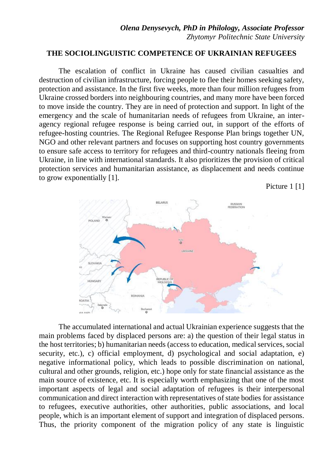## **THE SOCIOLINGUISTIC COMPETENCE OF UKRAINIAN REFUGEES**

The escalation of conflict in Ukraine has caused civilian casualties and destruction of civilian infrastructure, forcing people to flee their homes seeking safety, protection and assistance. In the first five weeks, more than four million refugees from Ukraine crossed borders into neighbouring countries, and many more have been forced to move inside the country. They are in need of protection and support. In light of the emergency and the scale of humanitarian needs of refugees from Ukraine, an interagency regional refugee response is being carried out, in support of the efforts of refugee-hosting countries. The Regional Refugee Response Plan brings together UN, NGO and other relevant partners and focuses on supporting host country governments to ensure safe access to territory for refugees and third-country nationals fleeing from Ukraine, in line with international standards. It also prioritizes the provision of critical protection services and humanitarian assistance, as displacement and needs continue to grow exponentially [1].

Picture 1 [1]



The accumulated international and actual Ukrainian experience suggests that the main problems faced by displaced persons are: a) the question of their legal status in the host territories; b) humanitarian needs (access to education, medical services, social security, etc.), c) official employment, d) psychological and social adaptation, e) negative informational policy, which leads to possible discrimination on national, cultural and other grounds, religion, etc.) hope only for state financial assistance as the main source of existence, etc. It is especially worth emphasizing that one of the most important aspects of legal and social adaptation of refugees is their interpersonal communication and direct interaction with representatives of state bodies for assistance to refugees, executive authorities, other authorities, public associations, and local people, which is an important element of support and integration of displaced persons. Thus, the priority component of the migration policy of any state is linguistic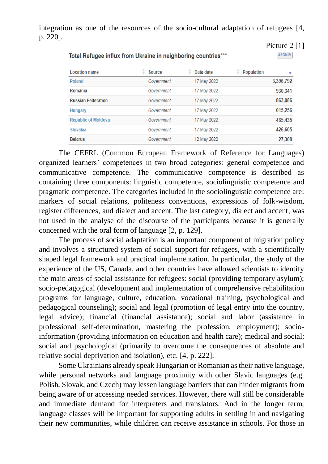integration as one of the resources of the socio-cultural adaptation of refugees [4, p. 220].

| <b>Location name</b>       | ÷<br>Source | Data date   | Population | ▼         |
|----------------------------|-------------|-------------|------------|-----------|
| Poland                     | Government  | 17 May 2022 |            | 3,396,792 |
| Romania                    | Government  | 17 May 2022 |            | 930,341   |
| <b>Russian Federation</b>  | Government  | 17 May 2022 |            | 863,086   |
| Hungary                    | Government  | 17 May 2022 |            | 615,256   |
| <b>Republic of Moldova</b> | Government  | 17 May 2022 |            | 465,435   |
| Slovakia                   | Government  | 17 May 2022 |            | 426,605   |
| <b>Belarus</b>             | Government  | 12 May 2022 |            | 27.308    |

Picture 2 [1]

**JSON SY** 

## Total Refugee influx from Ukraine in neighboring countries\*\*\*

The CEFRL (Common European Framework of Reference for Languages) organized learners' competences in two broad categories: general competence and communicative competence. The communicative competence is described as containing three components: linguistic competence, sociolinguistic competence and pragmatic competence. The categories included in the sociolinguistic competence are: markers of social relations, politeness conventions, expressions of folk-wisdom, register differences, and dialect and accent. The last category, dialect and accent, was not used in the analyse of the discourse of the participants because it is generally concerned with the oral form of language [2, p. 129].

The process of social adaptation is an important component of migration policy and involves a structured system of social support for refugees, with a scientifically shaped legal framework and practical implementation. In particular, the study of the experience of the US, Canada, and other countries have allowed scientists to identify the main areas of social assistance for refugees: social (providing temporary asylum); socio-pedagogical (development and implementation of comprehensive rehabilitation programs for language, culture, education, vocational training, psychological and pedagogical counseling); social and legal (promotion of legal entry into the country, legal advice); financial (financial assistance); social and labor (assistance in professional self-determination, mastering the profession, employment); socioinformation (providing information on education and health care); medical and social; social and psychological (primarily to overcome the consequences of absolute and relative social deprivation and isolation), etc. [4, p. 222].

Some Ukrainians [already speak](https://wenr.wes.org/2019/06/education-in-ukraine) Hungarian or Romanian as their native language, while personal networks and language proximity with other Slavic languages (e.g. Polish, Slovak, and Czech) may lessen language barriers that can hinder migrants from being aware of or accessing needed services. However, there will still be considerable and immediate demand for interpreters and translators. And in the longer term, language classes will be important for supporting adults in settling in and navigating their new communities, while children can receive assistance in schools. For those in